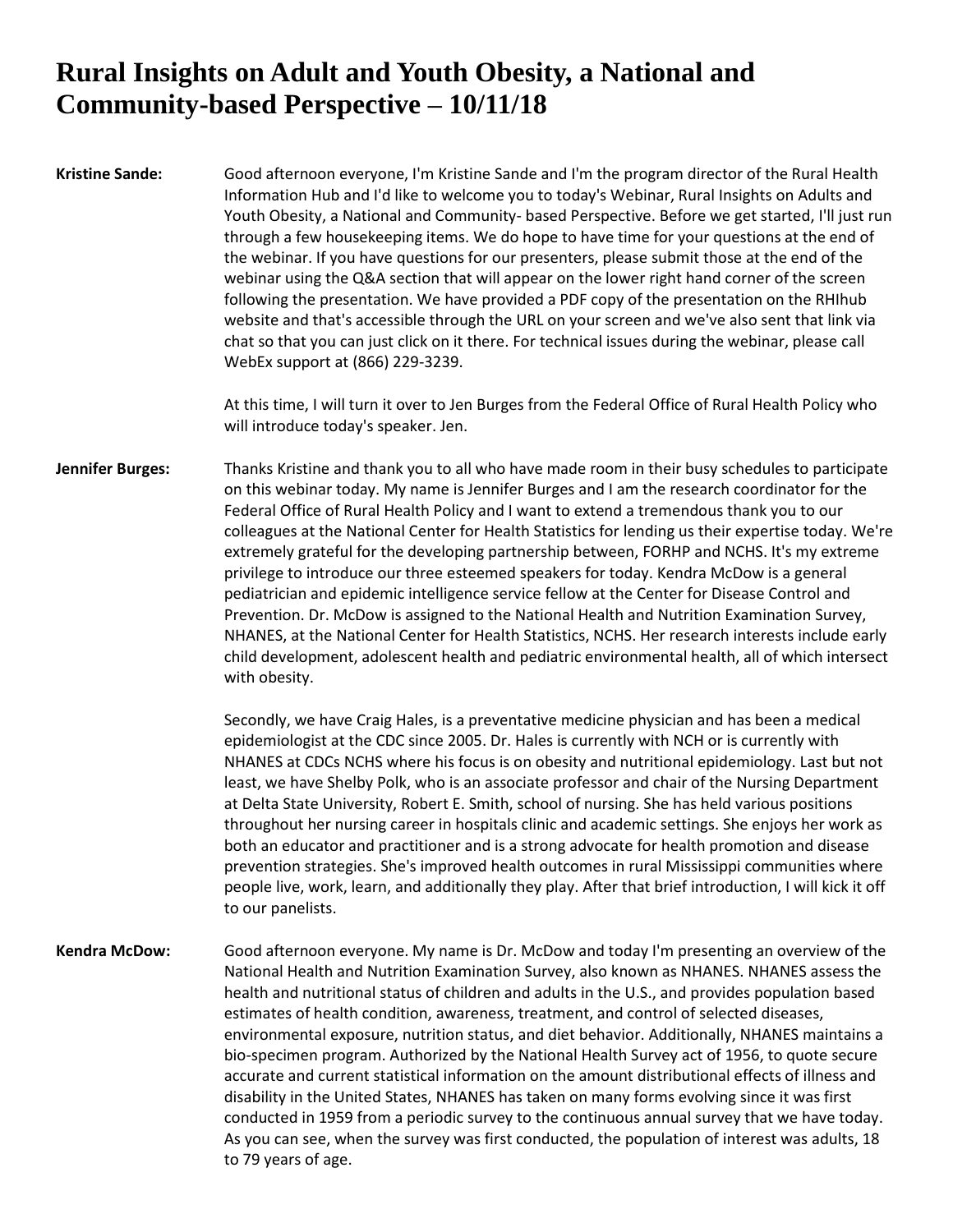## **Rural Insights on Adult and Youth Obesity, a National and Community-based Perspective – 10/11/18**

**Kristine Sande:** Good afternoon everyone, I'm Kristine Sande and I'm the program director of the Rural Health Information Hub and I'd like to welcome you to today's Webinar, Rural Insights on Adults and Youth Obesity, a National and Community- based Perspective. Before we get started, I'll just run through a few housekeeping items. We do hope to have time for your questions at the end of the webinar. If you have questions for our presenters, please submit those at the end of the webinar using the Q&A section that will appear on the lower right hand corner of the screen following the presentation. We have provided a PDF copy of the presentation on the RHIhub website and that's accessible through the URL on your screen and we've also sent that link via chat so that you can just click on it there. For technical issues during the webinar, please call WebEx support at (866) 229-3239.

> At this time, I will turn it over to Jen Burges from the Federal Office of Rural Health Policy who will introduce today's speaker. Jen.

**Jennifer Burges:** Thanks Kristine and thank you to all who have made room in their busy schedules to participate on this webinar today. My name is Jennifer Burges and I am the research coordinator for the Federal Office of Rural Health Policy and I want to extend a tremendous thank you to our colleagues at the National Center for Health Statistics for lending us their expertise today. We're extremely grateful for the developing partnership between, FORHP and NCHS. It's my extreme privilege to introduce our three esteemed speakers for today. Kendra McDow is a general pediatrician and epidemic intelligence service fellow at the Center for Disease Control and Prevention. Dr. McDow is assigned to the National Health and Nutrition Examination Survey, NHANES, at the National Center for Health Statistics, NCHS. Her research interests include early child development, adolescent health and pediatric environmental health, all of which intersect with obesity.

> Secondly, we have Craig Hales, is a preventative medicine physician and has been a medical epidemiologist at the CDC since 2005. Dr. Hales is currently with NCH or is currently with NHANES at CDCs NCHS where his focus is on obesity and nutritional epidemiology. Last but not least, we have Shelby Polk, who is an associate professor and chair of the Nursing Department at Delta State University, Robert E. Smith, school of nursing. She has held various positions throughout her nursing career in hospitals clinic and academic settings. She enjoys her work as both an educator and practitioner and is a strong advocate for health promotion and disease prevention strategies. She's improved health outcomes in rural Mississippi communities where people live, work, learn, and additionally they play. After that brief introduction, I will kick it off to our panelists.

**Kendra McDow:** Good afternoon everyone. My name is Dr. McDow and today I'm presenting an overview of the National Health and Nutrition Examination Survey, also known as NHANES. NHANES assess the health and nutritional status of children and adults in the U.S., and provides population based estimates of health condition, awareness, treatment, and control of selected diseases, environmental exposure, nutrition status, and diet behavior. Additionally, NHANES maintains a bio-specimen program. Authorized by the National Health Survey act of 1956, to quote secure accurate and current statistical information on the amount distributional effects of illness and disability in the United States, NHANES has taken on many forms evolving since it was first conducted in 1959 from a periodic survey to the continuous annual survey that we have today. As you can see, when the survey was first conducted, the population of interest was adults, 18 to 79 years of age.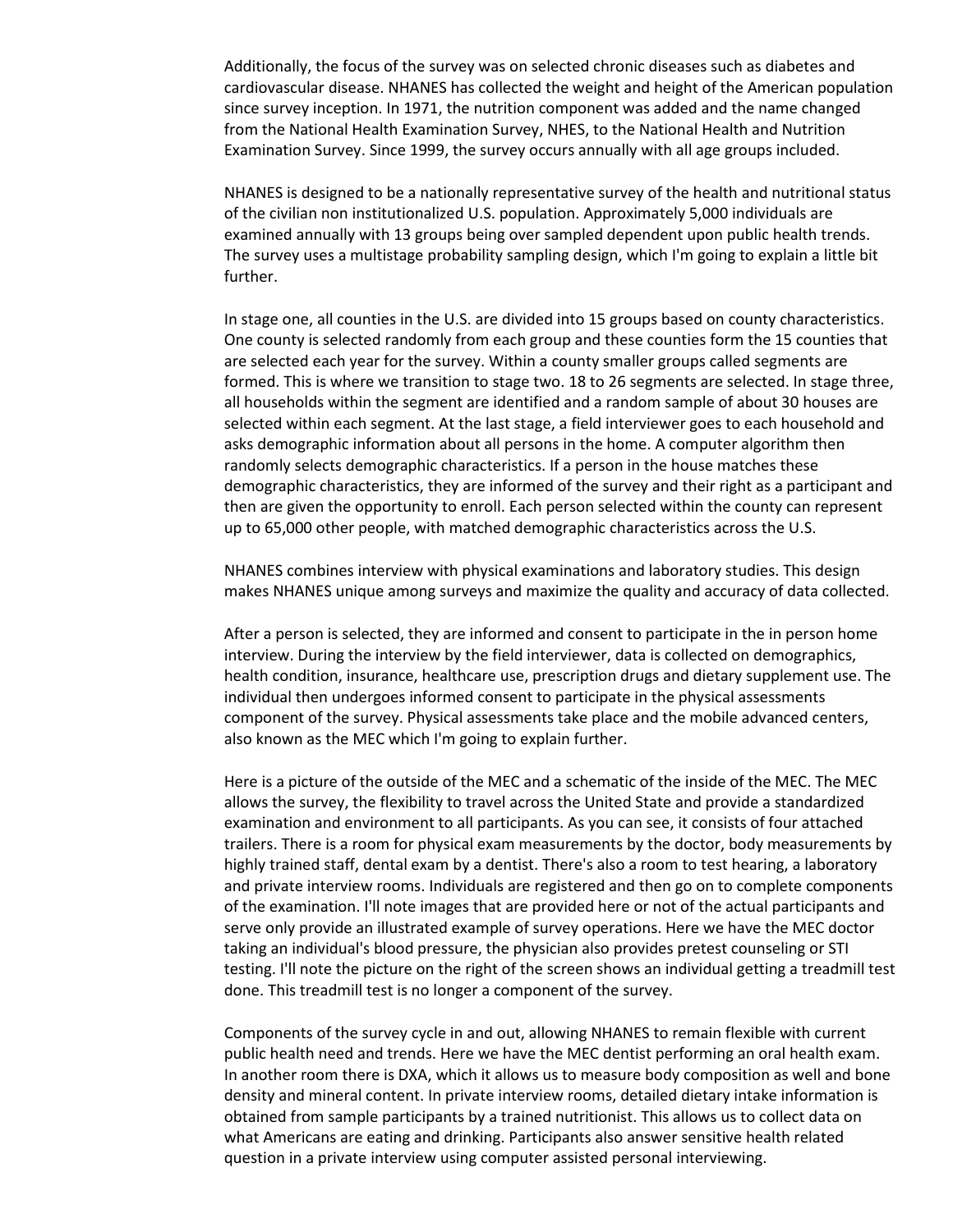Additionally, the focus of the survey was on selected chronic diseases such as diabetes and cardiovascular disease. NHANES has collected the weight and height of the American population since survey inception. In 1971, the nutrition component was added and the name changed from the National Health Examination Survey, NHES, to the National Health and Nutrition Examination Survey. Since 1999, the survey occurs annually with all age groups included.

NHANES is designed to be a nationally representative survey of the health and nutritional status of the civilian non institutionalized U.S. population. Approximately 5,000 individuals are examined annually with 13 groups being over sampled dependent upon public health trends. The survey uses a multistage probability sampling design, which I'm going to explain a little bit further.

In stage one, all counties in the U.S. are divided into 15 groups based on county characteristics. One county is selected randomly from each group and these counties form the 15 counties that are selected each year for the survey. Within a county smaller groups called segments are formed. This is where we transition to stage two. 18 to 26 segments are selected. In stage three, all households within the segment are identified and a random sample of about 30 houses are selected within each segment. At the last stage, a field interviewer goes to each household and asks demographic information about all persons in the home. A computer algorithm then randomly selects demographic characteristics. If a person in the house matches these demographic characteristics, they are informed of the survey and their right as a participant and then are given the opportunity to enroll. Each person selected within the county can represent up to 65,000 other people, with matched demographic characteristics across the U.S.

NHANES combines interview with physical examinations and laboratory studies. This design makes NHANES unique among surveys and maximize the quality and accuracy of data collected.

After a person is selected, they are informed and consent to participate in the in person home interview. During the interview by the field interviewer, data is collected on demographics, health condition, insurance, healthcare use, prescription drugs and dietary supplement use. The individual then undergoes informed consent to participate in the physical assessments component of the survey. Physical assessments take place and the mobile advanced centers, also known as the MEC which I'm going to explain further.

Here is a picture of the outside of the MEC and a schematic of the inside of the MEC. The MEC allows the survey, the flexibility to travel across the United State and provide a standardized examination and environment to all participants. As you can see, it consists of four attached trailers. There is a room for physical exam measurements by the doctor, body measurements by highly trained staff, dental exam by a dentist. There's also a room to test hearing, a laboratory and private interview rooms. Individuals are registered and then go on to complete components of the examination. I'll note images that are provided here or not of the actual participants and serve only provide an illustrated example of survey operations. Here we have the MEC doctor taking an individual's blood pressure, the physician also provides pretest counseling or STI testing. I'll note the picture on the right of the screen shows an individual getting a treadmill test done. This treadmill test is no longer a component of the survey.

Components of the survey cycle in and out, allowing NHANES to remain flexible with current public health need and trends. Here we have the MEC dentist performing an oral health exam. In another room there is DXA, which it allows us to measure body composition as well and bone density and mineral content. In private interview rooms, detailed dietary intake information is obtained from sample participants by a trained nutritionist. This allows us to collect data on what Americans are eating and drinking. Participants also answer sensitive health related question in a private interview using computer assisted personal interviewing.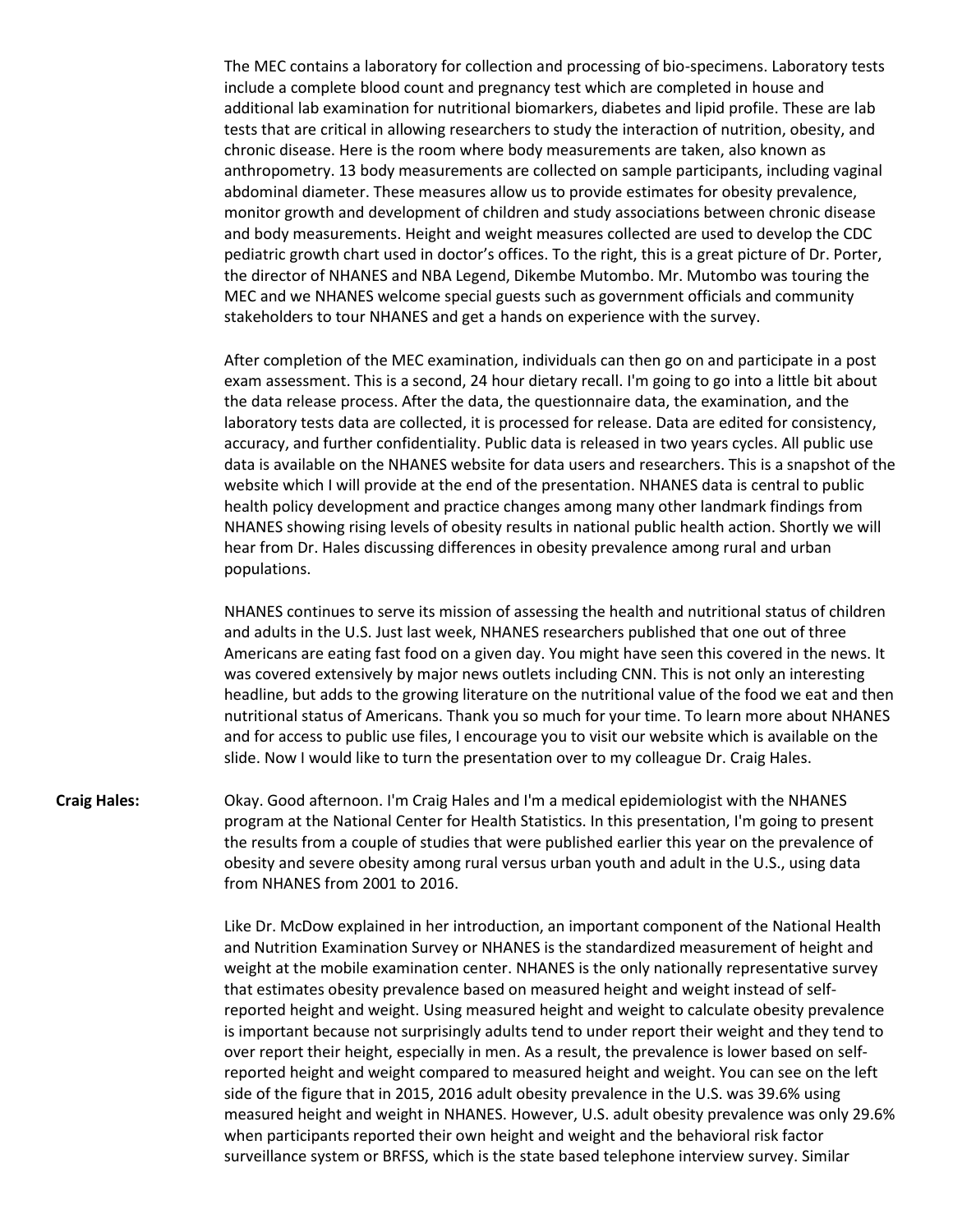The MEC contains a laboratory for collection and processing of bio-specimens. Laboratory tests include a complete blood count and pregnancy test which are completed in house and additional lab examination for nutritional biomarkers, diabetes and lipid profile. These are lab tests that are critical in allowing researchers to study the interaction of nutrition, obesity, and chronic disease. Here is the room where body measurements are taken, also known as anthropometry. 13 body measurements are collected on sample participants, including vaginal abdominal diameter. These measures allow us to provide estimates for obesity prevalence, monitor growth and development of children and study associations between chronic disease and body measurements. Height and weight measures collected are used to develop the CDC pediatric growth chart used in doctor's offices. To the right, this is a great picture of Dr. Porter, the director of NHANES and NBA Legend, Dikembe Mutombo. Mr. Mutombo was touring the MEC and we NHANES welcome special guests such as government officials and community stakeholders to tour NHANES and get a hands on experience with the survey.

After completion of the MEC examination, individuals can then go on and participate in a post exam assessment. This is a second, 24 hour dietary recall. I'm going to go into a little bit about the data release process. After the data, the questionnaire data, the examination, and the laboratory tests data are collected, it is processed for release. Data are edited for consistency, accuracy, and further confidentiality. Public data is released in two years cycles. All public use data is available on the NHANES website for data users and researchers. This is a snapshot of the website which I will provide at the end of the presentation. NHANES data is central to public health policy development and practice changes among many other landmark findings from NHANES showing rising levels of obesity results in national public health action. Shortly we will hear from Dr. Hales discussing differences in obesity prevalence among rural and urban populations.

NHANES continues to serve its mission of assessing the health and nutritional status of children and adults in the U.S. Just last week, NHANES researchers published that one out of three Americans are eating fast food on a given day. You might have seen this covered in the news. It was covered extensively by major news outlets including CNN. This is not only an interesting headline, but adds to the growing literature on the nutritional value of the food we eat and then nutritional status of Americans. Thank you so much for your time. To learn more about NHANES and for access to public use files, I encourage you to visit our website which is available on the slide. Now I would like to turn the presentation over to my colleague Dr. Craig Hales.

**Craig Hales:** Okay. Good afternoon. I'm Craig Hales and I'm a medical epidemiologist with the NHANES program at the National Center for Health Statistics. In this presentation, I'm going to present the results from a couple of studies that were published earlier this year on the prevalence of obesity and severe obesity among rural versus urban youth and adult in the U.S., using data from NHANES from 2001 to 2016.

> Like Dr. McDow explained in her introduction, an important component of the National Health and Nutrition Examination Survey or NHANES is the standardized measurement of height and weight at the mobile examination center. NHANES is the only nationally representative survey that estimates obesity prevalence based on measured height and weight instead of selfreported height and weight. Using measured height and weight to calculate obesity prevalence is important because not surprisingly adults tend to under report their weight and they tend to over report their height, especially in men. As a result, the prevalence is lower based on selfreported height and weight compared to measured height and weight. You can see on the left side of the figure that in 2015, 2016 adult obesity prevalence in the U.S. was 39.6% using measured height and weight in NHANES. However, U.S. adult obesity prevalence was only 29.6% when participants reported their own height and weight and the behavioral risk factor surveillance system or BRFSS, which is the state based telephone interview survey. Similar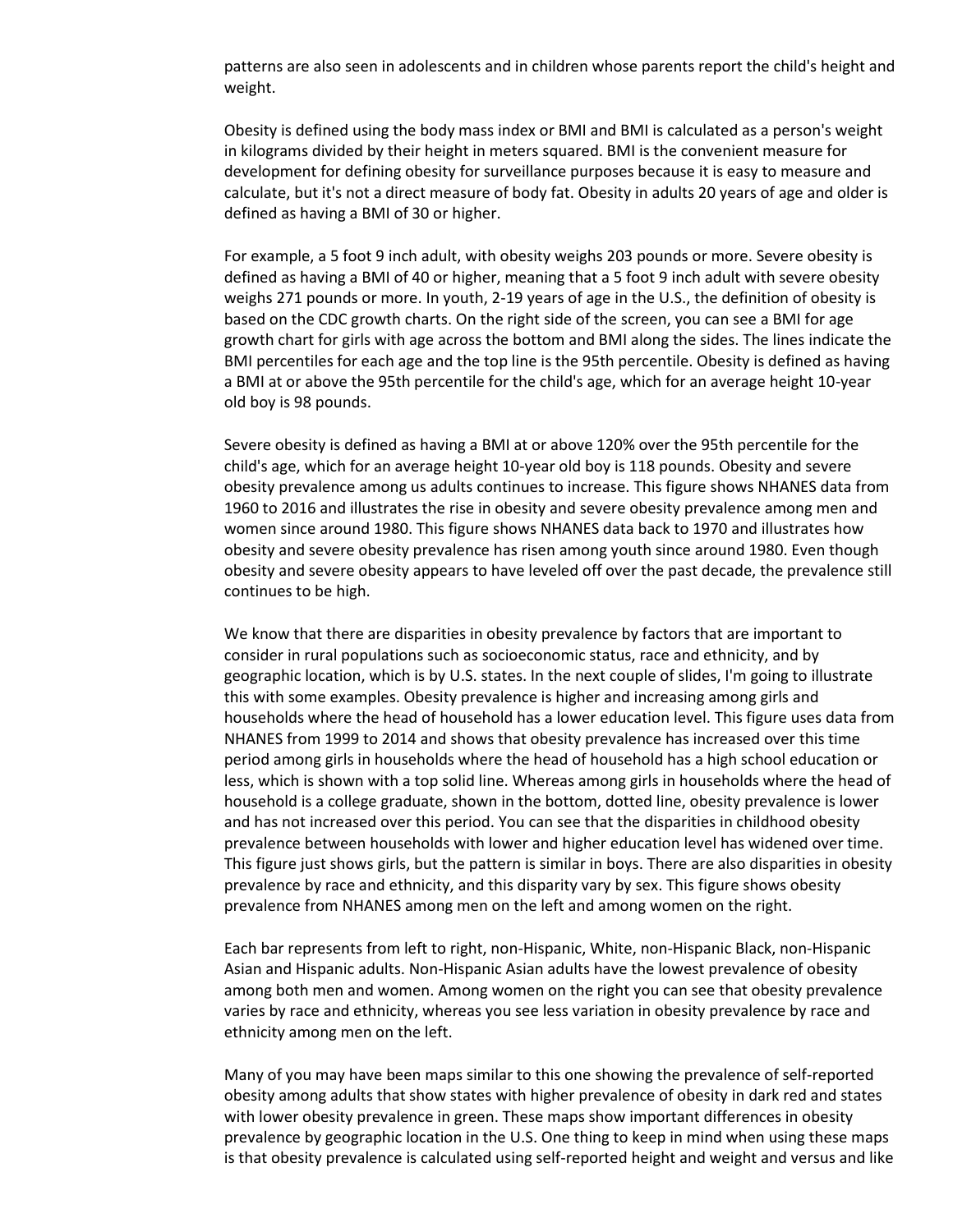patterns are also seen in adolescents and in children whose parents report the child's height and weight.

Obesity is defined using the body mass index or BMI and BMI is calculated as a person's weight in kilograms divided by their height in meters squared. BMI is the convenient measure for development for defining obesity for surveillance purposes because it is easy to measure and calculate, but it's not a direct measure of body fat. Obesity in adults 20 years of age and older is defined as having a BMI of 30 or higher.

For example, a 5 foot 9 inch adult, with obesity weighs 203 pounds or more. Severe obesity is defined as having a BMI of 40 or higher, meaning that a 5 foot 9 inch adult with severe obesity weighs 271 pounds or more. In youth, 2-19 years of age in the U.S., the definition of obesity is based on the CDC growth charts. On the right side of the screen, you can see a BMI for age growth chart for girls with age across the bottom and BMI along the sides. The lines indicate the BMI percentiles for each age and the top line is the 95th percentile. Obesity is defined as having a BMI at or above the 95th percentile for the child's age, which for an average height 10-year old boy is 98 pounds.

Severe obesity is defined as having a BMI at or above 120% over the 95th percentile for the child's age, which for an average height 10-year old boy is 118 pounds. Obesity and severe obesity prevalence among us adults continues to increase. This figure shows NHANES data from 1960 to 2016 and illustrates the rise in obesity and severe obesity prevalence among men and women since around 1980. This figure shows NHANES data back to 1970 and illustrates how obesity and severe obesity prevalence has risen among youth since around 1980. Even though obesity and severe obesity appears to have leveled off over the past decade, the prevalence still continues to be high.

We know that there are disparities in obesity prevalence by factors that are important to consider in rural populations such as socioeconomic status, race and ethnicity, and by geographic location, which is by U.S. states. In the next couple of slides, I'm going to illustrate this with some examples. Obesity prevalence is higher and increasing among girls and households where the head of household has a lower education level. This figure uses data from NHANES from 1999 to 2014 and shows that obesity prevalence has increased over this time period among girls in households where the head of household has a high school education or less, which is shown with a top solid line. Whereas among girls in households where the head of household is a college graduate, shown in the bottom, dotted line, obesity prevalence is lower and has not increased over this period. You can see that the disparities in childhood obesity prevalence between households with lower and higher education level has widened over time. This figure just shows girls, but the pattern is similar in boys. There are also disparities in obesity prevalence by race and ethnicity, and this disparity vary by sex. This figure shows obesity prevalence from NHANES among men on the left and among women on the right.

Each bar represents from left to right, non-Hispanic, White, non-Hispanic Black, non-Hispanic Asian and Hispanic adults. Non-Hispanic Asian adults have the lowest prevalence of obesity among both men and women. Among women on the right you can see that obesity prevalence varies by race and ethnicity, whereas you see less variation in obesity prevalence by race and ethnicity among men on the left.

Many of you may have been maps similar to this one showing the prevalence of self-reported obesity among adults that show states with higher prevalence of obesity in dark red and states with lower obesity prevalence in green. These maps show important differences in obesity prevalence by geographic location in the U.S. One thing to keep in mind when using these maps is that obesity prevalence is calculated using self-reported height and weight and versus and like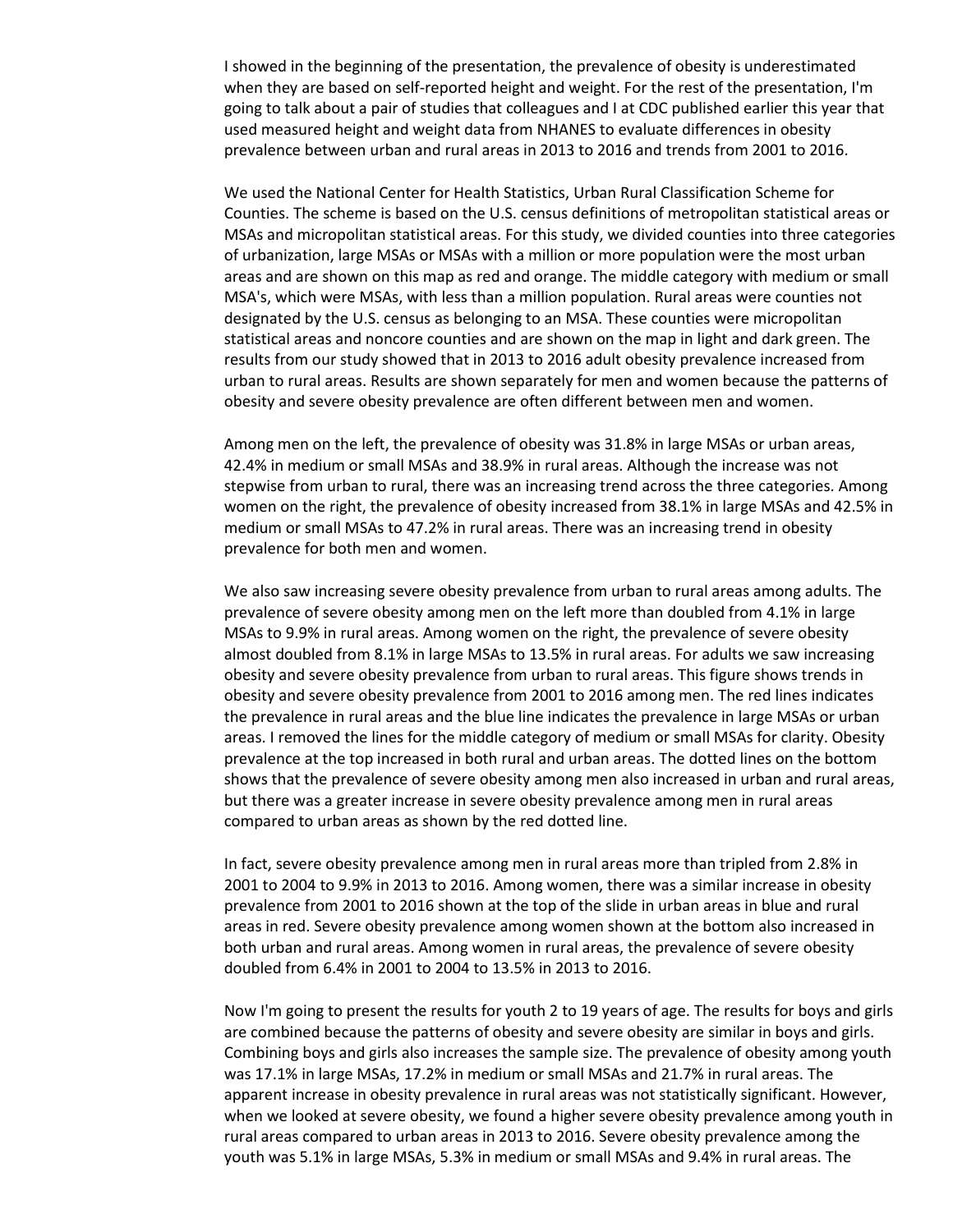I showed in the beginning of the presentation, the prevalence of obesity is underestimated when they are based on self-reported height and weight. For the rest of the presentation, I'm going to talk about a pair of studies that colleagues and I at CDC published earlier this year that used measured height and weight data from NHANES to evaluate differences in obesity prevalence between urban and rural areas in 2013 to 2016 and trends from 2001 to 2016.

We used the National Center for Health Statistics, Urban Rural Classification Scheme for Counties. The scheme is based on the U.S. census definitions of metropolitan statistical areas or MSAs and micropolitan statistical areas. For this study, we divided counties into three categories of urbanization, large MSAs or MSAs with a million or more population were the most urban areas and are shown on this map as red and orange. The middle category with medium or small MSA's, which were MSAs, with less than a million population. Rural areas were counties not designated by the U.S. census as belonging to an MSA. These counties were micropolitan statistical areas and noncore counties and are shown on the map in light and dark green. The results from our study showed that in 2013 to 2016 adult obesity prevalence increased from urban to rural areas. Results are shown separately for men and women because the patterns of obesity and severe obesity prevalence are often different between men and women.

Among men on the left, the prevalence of obesity was 31.8% in large MSAs or urban areas, 42.4% in medium or small MSAs and 38.9% in rural areas. Although the increase was not stepwise from urban to rural, there was an increasing trend across the three categories. Among women on the right, the prevalence of obesity increased from 38.1% in large MSAs and 42.5% in medium or small MSAs to 47.2% in rural areas. There was an increasing trend in obesity prevalence for both men and women.

We also saw increasing severe obesity prevalence from urban to rural areas among adults. The prevalence of severe obesity among men on the left more than doubled from 4.1% in large MSAs to 9.9% in rural areas. Among women on the right, the prevalence of severe obesity almost doubled from 8.1% in large MSAs to 13.5% in rural areas. For adults we saw increasing obesity and severe obesity prevalence from urban to rural areas. This figure shows trends in obesity and severe obesity prevalence from 2001 to 2016 among men. The red lines indicates the prevalence in rural areas and the blue line indicates the prevalence in large MSAs or urban areas. I removed the lines for the middle category of medium or small MSAs for clarity. Obesity prevalence at the top increased in both rural and urban areas. The dotted lines on the bottom shows that the prevalence of severe obesity among men also increased in urban and rural areas, but there was a greater increase in severe obesity prevalence among men in rural areas compared to urban areas as shown by the red dotted line.

In fact, severe obesity prevalence among men in rural areas more than tripled from 2.8% in 2001 to 2004 to 9.9% in 2013 to 2016. Among women, there was a similar increase in obesity prevalence from 2001 to 2016 shown at the top of the slide in urban areas in blue and rural areas in red. Severe obesity prevalence among women shown at the bottom also increased in both urban and rural areas. Among women in rural areas, the prevalence of severe obesity doubled from 6.4% in 2001 to 2004 to 13.5% in 2013 to 2016.

Now I'm going to present the results for youth 2 to 19 years of age. The results for boys and girls are combined because the patterns of obesity and severe obesity are similar in boys and girls. Combining boys and girls also increases the sample size. The prevalence of obesity among youth was 17.1% in large MSAs, 17.2% in medium or small MSAs and 21.7% in rural areas. The apparent increase in obesity prevalence in rural areas was not statistically significant. However, when we looked at severe obesity, we found a higher severe obesity prevalence among youth in rural areas compared to urban areas in 2013 to 2016. Severe obesity prevalence among the youth was 5.1% in large MSAs, 5.3% in medium or small MSAs and 9.4% in rural areas. The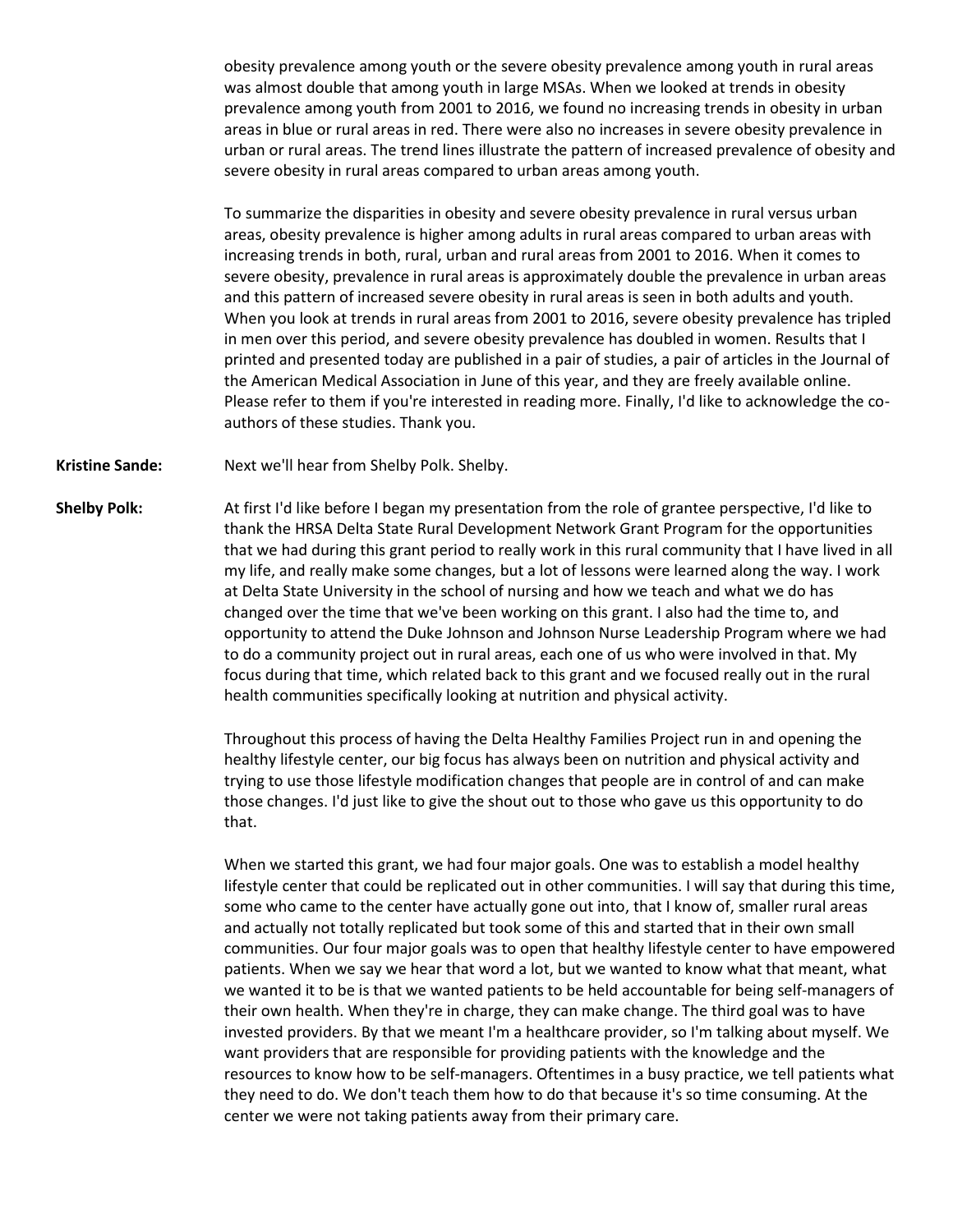obesity prevalence among youth or the severe obesity prevalence among youth in rural areas was almost double that among youth in large MSAs. When we looked at trends in obesity prevalence among youth from 2001 to 2016, we found no increasing trends in obesity in urban areas in blue or rural areas in red. There were also no increases in severe obesity prevalence in urban or rural areas. The trend lines illustrate the pattern of increased prevalence of obesity and severe obesity in rural areas compared to urban areas among youth.

To summarize the disparities in obesity and severe obesity prevalence in rural versus urban areas, obesity prevalence is higher among adults in rural areas compared to urban areas with increasing trends in both, rural, urban and rural areas from 2001 to 2016. When it comes to severe obesity, prevalence in rural areas is approximately double the prevalence in urban areas and this pattern of increased severe obesity in rural areas is seen in both adults and youth. When you look at trends in rural areas from 2001 to 2016, severe obesity prevalence has tripled in men over this period, and severe obesity prevalence has doubled in women. Results that I printed and presented today are published in a pair of studies, a pair of articles in the Journal of the American Medical Association in June of this year, and they are freely available online. Please refer to them if you're interested in reading more. Finally, I'd like to acknowledge the coauthors of these studies. Thank you.

**Kristine Sande:** Next we'll hear from Shelby Polk. Shelby.

**Shelby Polk:** At first I'd like before I began my presentation from the role of grantee perspective, I'd like to thank the HRSA Delta State Rural Development Network Grant Program for the opportunities that we had during this grant period to really work in this rural community that I have lived in all my life, and really make some changes, but a lot of lessons were learned along the way. I work at Delta State University in the school of nursing and how we teach and what we do has changed over the time that we've been working on this grant. I also had the time to, and opportunity to attend the Duke Johnson and Johnson Nurse Leadership Program where we had to do a community project out in rural areas, each one of us who were involved in that. My focus during that time, which related back to this grant and we focused really out in the rural health communities specifically looking at nutrition and physical activity.

> Throughout this process of having the Delta Healthy Families Project run in and opening the healthy lifestyle center, our big focus has always been on nutrition and physical activity and trying to use those lifestyle modification changes that people are in control of and can make those changes. I'd just like to give the shout out to those who gave us this opportunity to do that.

When we started this grant, we had four major goals. One was to establish a model healthy lifestyle center that could be replicated out in other communities. I will say that during this time, some who came to the center have actually gone out into, that I know of, smaller rural areas and actually not totally replicated but took some of this and started that in their own small communities. Our four major goals was to open that healthy lifestyle center to have empowered patients. When we say we hear that word a lot, but we wanted to know what that meant, what we wanted it to be is that we wanted patients to be held accountable for being self-managers of their own health. When they're in charge, they can make change. The third goal was to have invested providers. By that we meant I'm a healthcare provider, so I'm talking about myself. We want providers that are responsible for providing patients with the knowledge and the resources to know how to be self-managers. Oftentimes in a busy practice, we tell patients what they need to do. We don't teach them how to do that because it's so time consuming. At the center we were not taking patients away from their primary care.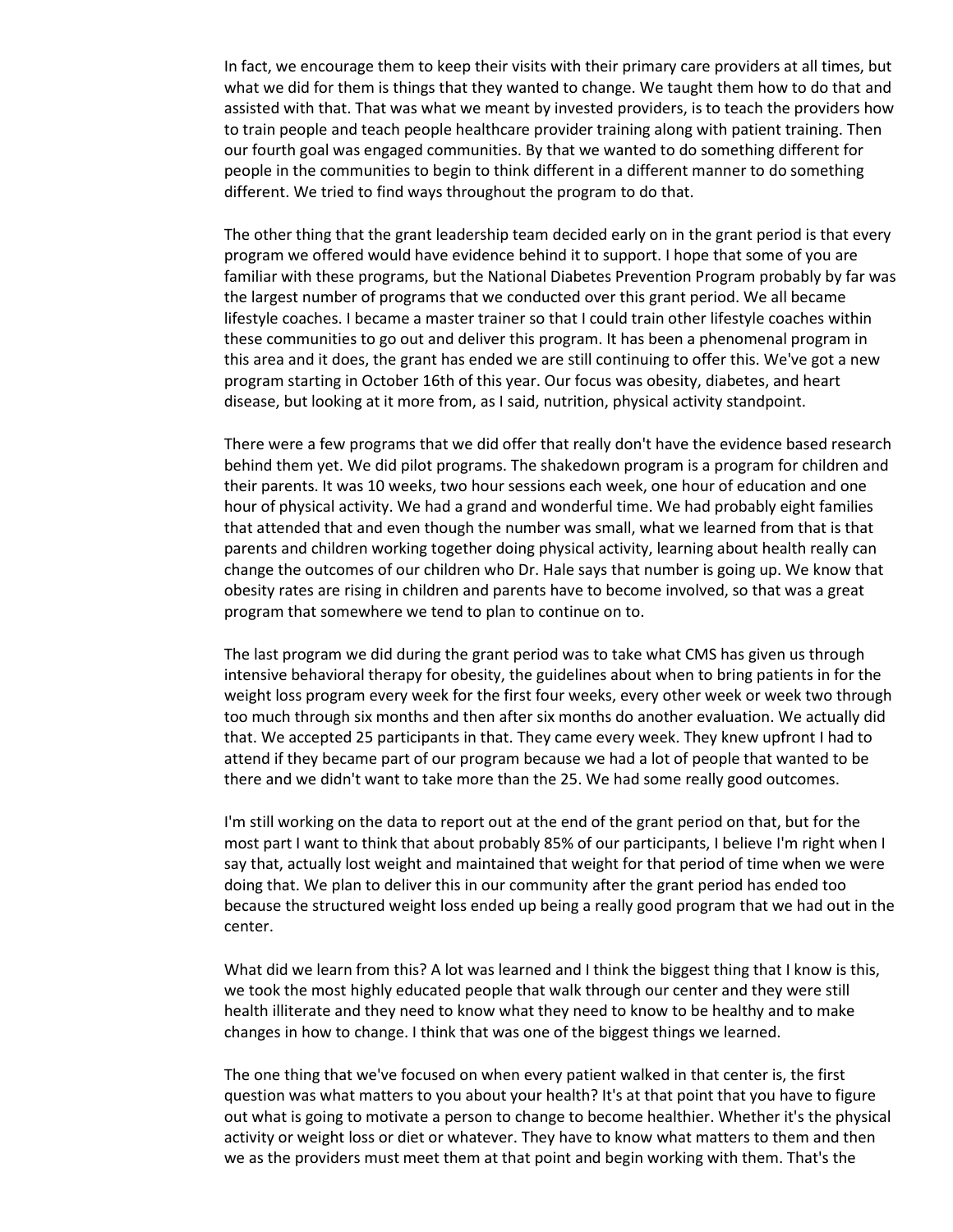In fact, we encourage them to keep their visits with their primary care providers at all times, but what we did for them is things that they wanted to change. We taught them how to do that and assisted with that. That was what we meant by invested providers, is to teach the providers how to train people and teach people healthcare provider training along with patient training. Then our fourth goal was engaged communities. By that we wanted to do something different for people in the communities to begin to think different in a different manner to do something different. We tried to find ways throughout the program to do that.

The other thing that the grant leadership team decided early on in the grant period is that every program we offered would have evidence behind it to support. I hope that some of you are familiar with these programs, but the National Diabetes Prevention Program probably by far was the largest number of programs that we conducted over this grant period. We all became lifestyle coaches. I became a master trainer so that I could train other lifestyle coaches within these communities to go out and deliver this program. It has been a phenomenal program in this area and it does, the grant has ended we are still continuing to offer this. We've got a new program starting in October 16th of this year. Our focus was obesity, diabetes, and heart disease, but looking at it more from, as I said, nutrition, physical activity standpoint.

There were a few programs that we did offer that really don't have the evidence based research behind them yet. We did pilot programs. The shakedown program is a program for children and their parents. It was 10 weeks, two hour sessions each week, one hour of education and one hour of physical activity. We had a grand and wonderful time. We had probably eight families that attended that and even though the number was small, what we learned from that is that parents and children working together doing physical activity, learning about health really can change the outcomes of our children who Dr. Hale says that number is going up. We know that obesity rates are rising in children and parents have to become involved, so that was a great program that somewhere we tend to plan to continue on to.

The last program we did during the grant period was to take what CMS has given us through intensive behavioral therapy for obesity, the guidelines about when to bring patients in for the weight loss program every week for the first four weeks, every other week or week two through too much through six months and then after six months do another evaluation. We actually did that. We accepted 25 participants in that. They came every week. They knew upfront I had to attend if they became part of our program because we had a lot of people that wanted to be there and we didn't want to take more than the 25. We had some really good outcomes.

I'm still working on the data to report out at the end of the grant period on that, but for the most part I want to think that about probably 85% of our participants, I believe I'm right when I say that, actually lost weight and maintained that weight for that period of time when we were doing that. We plan to deliver this in our community after the grant period has ended too because the structured weight loss ended up being a really good program that we had out in the center.

What did we learn from this? A lot was learned and I think the biggest thing that I know is this, we took the most highly educated people that walk through our center and they were still health illiterate and they need to know what they need to know to be healthy and to make changes in how to change. I think that was one of the biggest things we learned.

The one thing that we've focused on when every patient walked in that center is, the first question was what matters to you about your health? It's at that point that you have to figure out what is going to motivate a person to change to become healthier. Whether it's the physical activity or weight loss or diet or whatever. They have to know what matters to them and then we as the providers must meet them at that point and begin working with them. That's the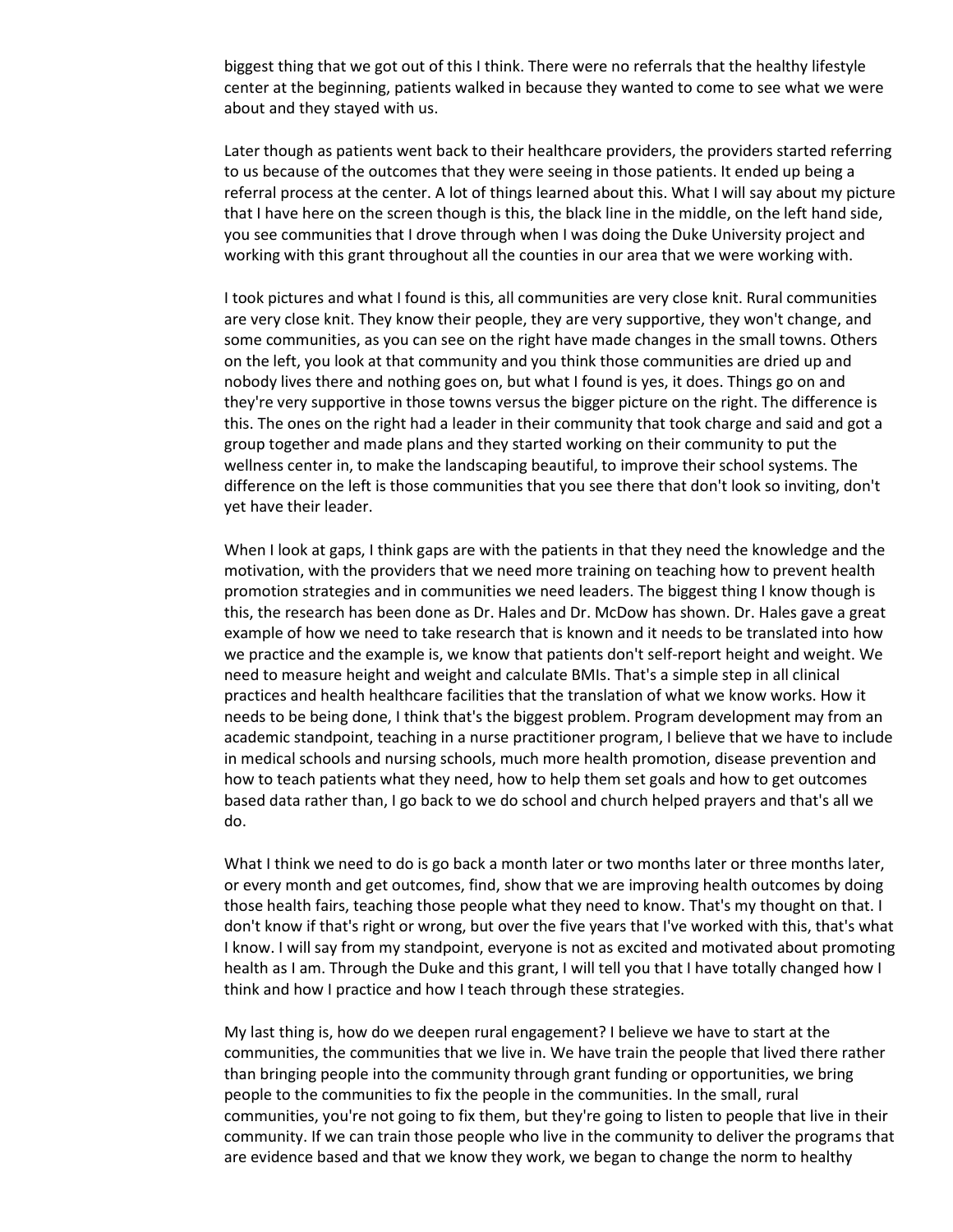biggest thing that we got out of this I think. There were no referrals that the healthy lifestyle center at the beginning, patients walked in because they wanted to come to see what we were about and they stayed with us.

Later though as patients went back to their healthcare providers, the providers started referring to us because of the outcomes that they were seeing in those patients. It ended up being a referral process at the center. A lot of things learned about this. What I will say about my picture that I have here on the screen though is this, the black line in the middle, on the left hand side, you see communities that I drove through when I was doing the Duke University project and working with this grant throughout all the counties in our area that we were working with.

I took pictures and what I found is this, all communities are very close knit. Rural communities are very close knit. They know their people, they are very supportive, they won't change, and some communities, as you can see on the right have made changes in the small towns. Others on the left, you look at that community and you think those communities are dried up and nobody lives there and nothing goes on, but what I found is yes, it does. Things go on and they're very supportive in those towns versus the bigger picture on the right. The difference is this. The ones on the right had a leader in their community that took charge and said and got a group together and made plans and they started working on their community to put the wellness center in, to make the landscaping beautiful, to improve their school systems. The difference on the left is those communities that you see there that don't look so inviting, don't yet have their leader.

When I look at gaps, I think gaps are with the patients in that they need the knowledge and the motivation, with the providers that we need more training on teaching how to prevent health promotion strategies and in communities we need leaders. The biggest thing I know though is this, the research has been done as Dr. Hales and Dr. McDow has shown. Dr. Hales gave a great example of how we need to take research that is known and it needs to be translated into how we practice and the example is, we know that patients don't self-report height and weight. We need to measure height and weight and calculate BMIs. That's a simple step in all clinical practices and health healthcare facilities that the translation of what we know works. How it needs to be being done, I think that's the biggest problem. Program development may from an academic standpoint, teaching in a nurse practitioner program, I believe that we have to include in medical schools and nursing schools, much more health promotion, disease prevention and how to teach patients what they need, how to help them set goals and how to get outcomes based data rather than, I go back to we do school and church helped prayers and that's all we do.

What I think we need to do is go back a month later or two months later or three months later, or every month and get outcomes, find, show that we are improving health outcomes by doing those health fairs, teaching those people what they need to know. That's my thought on that. I don't know if that's right or wrong, but over the five years that I've worked with this, that's what I know. I will say from my standpoint, everyone is not as excited and motivated about promoting health as I am. Through the Duke and this grant, I will tell you that I have totally changed how I think and how I practice and how I teach through these strategies.

My last thing is, how do we deepen rural engagement? I believe we have to start at the communities, the communities that we live in. We have train the people that lived there rather than bringing people into the community through grant funding or opportunities, we bring people to the communities to fix the people in the communities. In the small, rural communities, you're not going to fix them, but they're going to listen to people that live in their community. If we can train those people who live in the community to deliver the programs that are evidence based and that we know they work, we began to change the norm to healthy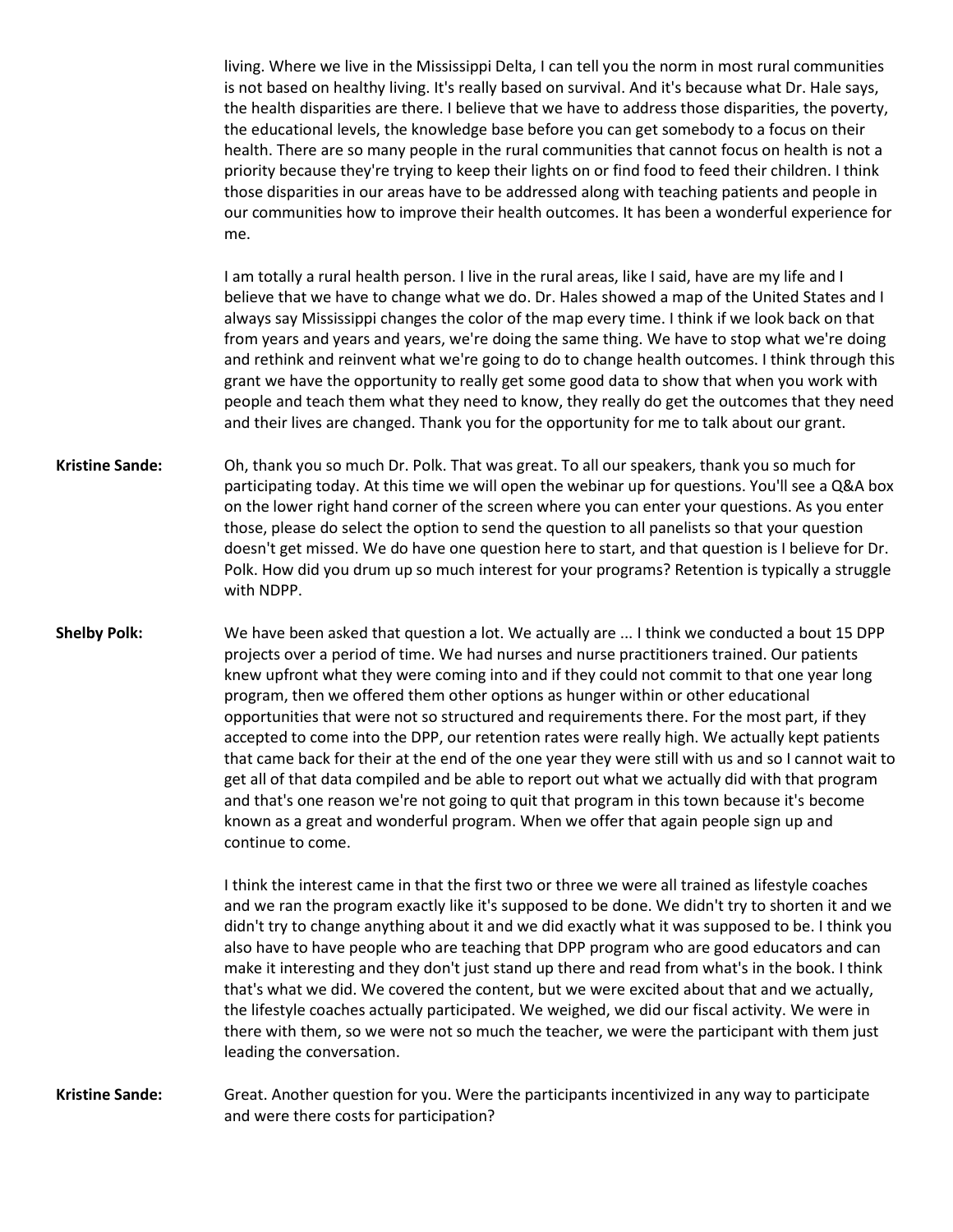living. Where we live in the Mississippi Delta, I can tell you the norm in most rural communities is not based on healthy living. It's really based on survival. And it's because what Dr. Hale says, the health disparities are there. I believe that we have to address those disparities, the poverty, the educational levels, the knowledge base before you can get somebody to a focus on their health. There are so many people in the rural communities that cannot focus on health is not a priority because they're trying to keep their lights on or find food to feed their children. I think those disparities in our areas have to be addressed along with teaching patients and people in our communities how to improve their health outcomes. It has been a wonderful experience for me.

I am totally a rural health person. I live in the rural areas, like I said, have are my life and I believe that we have to change what we do. Dr. Hales showed a map of the United States and I always say Mississippi changes the color of the map every time. I think if we look back on that from years and years and years, we're doing the same thing. We have to stop what we're doing and rethink and reinvent what we're going to do to change health outcomes. I think through this grant we have the opportunity to really get some good data to show that when you work with people and teach them what they need to know, they really do get the outcomes that they need and their lives are changed. Thank you for the opportunity for me to talk about our grant.

**Kristine Sande:** Oh, thank you so much Dr. Polk. That was great. To all our speakers, thank you so much for participating today. At this time we will open the webinar up for questions. You'll see a Q&A box on the lower right hand corner of the screen where you can enter your questions. As you enter those, please do select the option to send the question to all panelists so that your question doesn't get missed. We do have one question here to start, and that question is I believe for Dr. Polk. How did you drum up so much interest for your programs? Retention is typically a struggle with NDPP.

**Shelby Polk:** We have been asked that question a lot. We actually are ... I think we conducted a bout 15 DPP projects over a period of time. We had nurses and nurse practitioners trained. Our patients knew upfront what they were coming into and if they could not commit to that one year long program, then we offered them other options as hunger within or other educational opportunities that were not so structured and requirements there. For the most part, if they accepted to come into the DPP, our retention rates were really high. We actually kept patients that came back for their at the end of the one year they were still with us and so I cannot wait to get all of that data compiled and be able to report out what we actually did with that program and that's one reason we're not going to quit that program in this town because it's become known as a great and wonderful program. When we offer that again people sign up and continue to come.

> I think the interest came in that the first two or three we were all trained as lifestyle coaches and we ran the program exactly like it's supposed to be done. We didn't try to shorten it and we didn't try to change anything about it and we did exactly what it was supposed to be. I think you also have to have people who are teaching that DPP program who are good educators and can make it interesting and they don't just stand up there and read from what's in the book. I think that's what we did. We covered the content, but we were excited about that and we actually, the lifestyle coaches actually participated. We weighed, we did our fiscal activity. We were in there with them, so we were not so much the teacher, we were the participant with them just leading the conversation.

**Kristine Sande:** Great. Another question for you. Were the participants incentivized in any way to participate and were there costs for participation?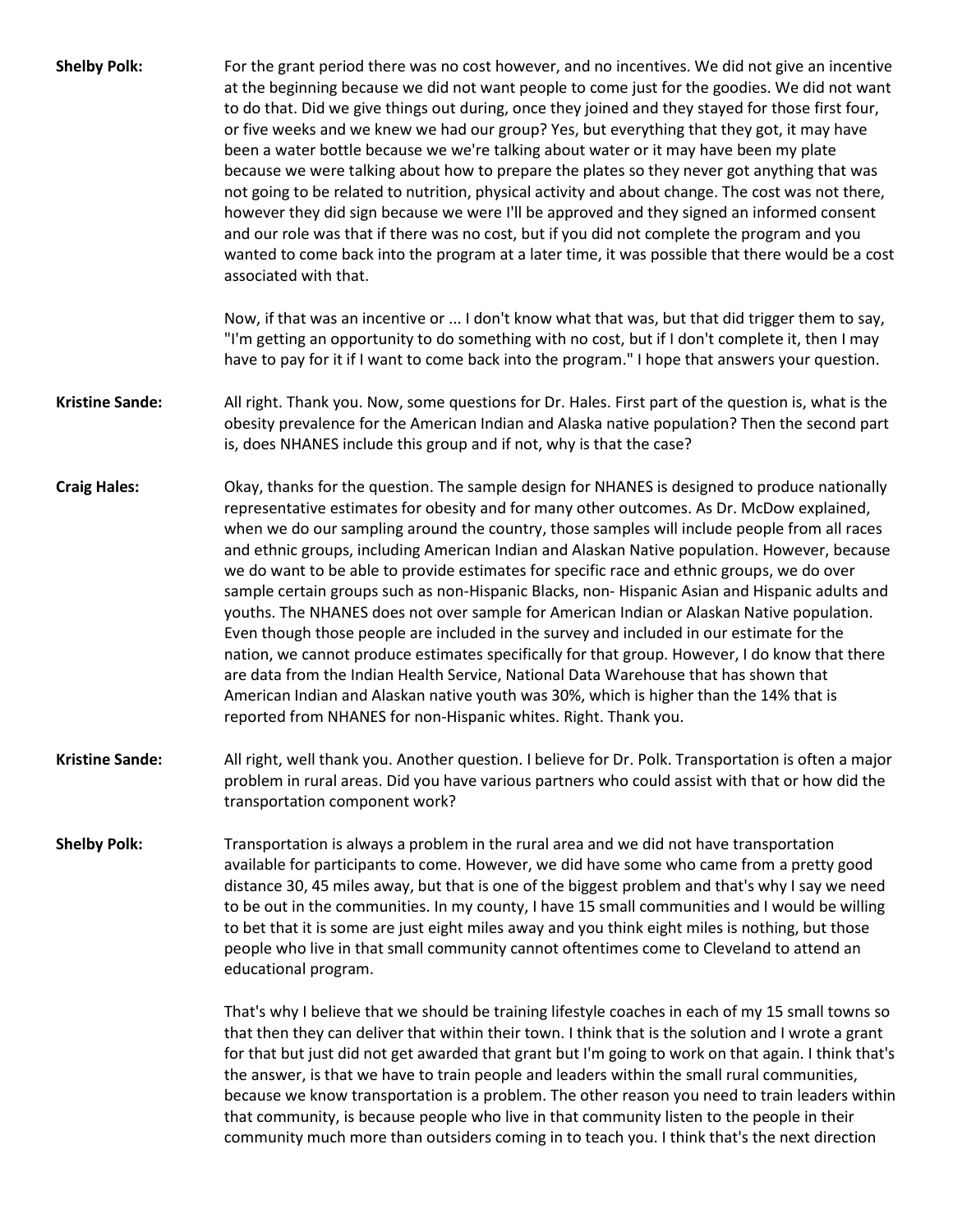| <b>Shelby Polk:</b>    | For the grant period there was no cost however, and no incentives. We did not give an incentive<br>at the beginning because we did not want people to come just for the goodies. We did not want<br>to do that. Did we give things out during, once they joined and they stayed for those first four,<br>or five weeks and we knew we had our group? Yes, but everything that they got, it may have<br>been a water bottle because we we're talking about water or it may have been my plate<br>because we were talking about how to prepare the plates so they never got anything that was<br>not going to be related to nutrition, physical activity and about change. The cost was not there,<br>however they did sign because we were I'll be approved and they signed an informed consent<br>and our role was that if there was no cost, but if you did not complete the program and you<br>wanted to come back into the program at a later time, it was possible that there would be a cost<br>associated with that.                                                                                                                |
|------------------------|-------------------------------------------------------------------------------------------------------------------------------------------------------------------------------------------------------------------------------------------------------------------------------------------------------------------------------------------------------------------------------------------------------------------------------------------------------------------------------------------------------------------------------------------------------------------------------------------------------------------------------------------------------------------------------------------------------------------------------------------------------------------------------------------------------------------------------------------------------------------------------------------------------------------------------------------------------------------------------------------------------------------------------------------------------------------------------------------------------------------------------------------|
|                        | Now, if that was an incentive or  I don't know what that was, but that did trigger them to say,<br>"I'm getting an opportunity to do something with no cost, but if I don't complete it, then I may<br>have to pay for it if I want to come back into the program." I hope that answers your question.                                                                                                                                                                                                                                                                                                                                                                                                                                                                                                                                                                                                                                                                                                                                                                                                                                    |
| <b>Kristine Sande:</b> | All right. Thank you. Now, some questions for Dr. Hales. First part of the question is, what is the<br>obesity prevalence for the American Indian and Alaska native population? Then the second part<br>is, does NHANES include this group and if not, why is that the case?                                                                                                                                                                                                                                                                                                                                                                                                                                                                                                                                                                                                                                                                                                                                                                                                                                                              |
| <b>Craig Hales:</b>    | Okay, thanks for the question. The sample design for NHANES is designed to produce nationally<br>representative estimates for obesity and for many other outcomes. As Dr. McDow explained,<br>when we do our sampling around the country, those samples will include people from all races<br>and ethnic groups, including American Indian and Alaskan Native population. However, because<br>we do want to be able to provide estimates for specific race and ethnic groups, we do over<br>sample certain groups such as non-Hispanic Blacks, non-Hispanic Asian and Hispanic adults and<br>youths. The NHANES does not over sample for American Indian or Alaskan Native population.<br>Even though those people are included in the survey and included in our estimate for the<br>nation, we cannot produce estimates specifically for that group. However, I do know that there<br>are data from the Indian Health Service, National Data Warehouse that has shown that<br>American Indian and Alaskan native youth was 30%, which is higher than the 14% that is<br>reported from NHANES for non-Hispanic whites. Right. Thank you. |
| <b>Kristine Sande:</b> | All right, well thank you. Another question. I believe for Dr. Polk. Transportation is often a major<br>problem in rural areas. Did you have various partners who could assist with that or how did the<br>transportation component work?                                                                                                                                                                                                                                                                                                                                                                                                                                                                                                                                                                                                                                                                                                                                                                                                                                                                                                 |
| <b>Shelby Polk:</b>    | Transportation is always a problem in the rural area and we did not have transportation<br>available for participants to come. However, we did have some who came from a pretty good<br>distance 30, 45 miles away, but that is one of the biggest problem and that's why I say we need<br>to be out in the communities. In my county, I have 15 small communities and I would be willing<br>to bet that it is some are just eight miles away and you think eight miles is nothing, but those<br>people who live in that small community cannot oftentimes come to Cleveland to attend an<br>educational program.                                                                                                                                                                                                                                                                                                                                                                                                                                                                                                                         |
|                        | That's why I believe that we should be training lifestyle coaches in each of my 15 small towns so<br>that then they can deliver that within their town. I think that is the solution and I wrote a grant<br>for that but just did not get awarded that grant but I'm going to work on that again. I think that's<br>the answer, is that we have to train people and leaders within the small rural communities,<br>because we know transportation is a problem. The other reason you need to train leaders within<br>that community, is because people who live in that community listen to the people in their<br>community much more than outsiders coming in to teach you. I think that's the next direction                                                                                                                                                                                                                                                                                                                                                                                                                           |